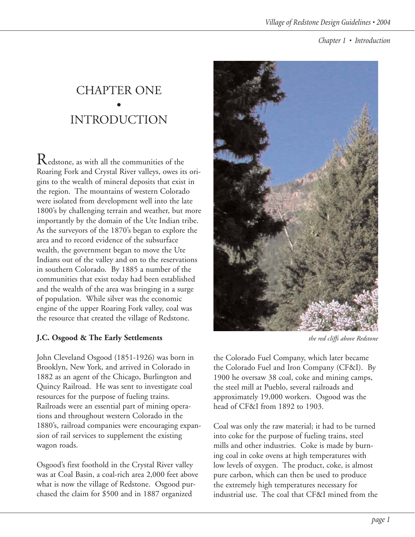# CHAPTER ONE • INTRODUCTION

 $\mathop{\mathrm{R}}\nolimits$ edstone, as with all the communities of the Roaring Fork and Crystal River valleys, owes its origins to the wealth of mineral deposits that exist in the region. The mountains of western Colorado were isolated from development well into the late 1800's by challenging terrain and weather, but more importantly by the domain of the Ute Indian tribe. As the surveyors of the 1870's began to explore the area and to record evidence of the subsurface wealth, the government began to move the Ute Indians out of the valley and on to the reservations in southern Colorado. By 1885 a number of the communities that exist today had been established and the wealth of the area was bringing in a surge of population. While silver was the economic engine of the upper Roaring Fork valley, coal was the resource that created the village of Redstone.

# **J.C. Osgood & The Early Settlements**

John Cleveland Osgood (1851-1926) was born in Brooklyn, New York, and arrived in Colorado in 1882 as an agent of the Chicago, Burlington and Quincy Railroad. He was sent to investigate coal resources for the purpose of fueling trains. Railroads were an essential part of mining operations and throughout western Colorado in the 1880's, railroad companies were encouraging expansion of rail services to supplement the existing wagon roads.

Osgood's first foothold in the Crystal River valley was at Coal Basin, a coal-rich area 2,000 feet above what is now the village of Redstone. Osgood purchased the claim for \$500 and in 1887 organized



*the red cliffs above Redstone*

the Colorado Fuel Company, which later became the Colorado Fuel and Iron Company (CF&I). By 1900 he oversaw 38 coal, coke and mining camps, the steel mill at Pueblo, several railroads and approximately 19,000 workers. Osgood was the head of CF&I from 1892 to 1903.

Coal was only the raw material; it had to be turned into coke for the purpose of fueling trains, steel mills and other industries. Coke is made by burning coal in coke ovens at high temperatures with low levels of oxygen. The product, coke, is almost pure carbon, which can then be used to produce the extremely high temperatures necessary for industrial use. The coal that CF&I mined from the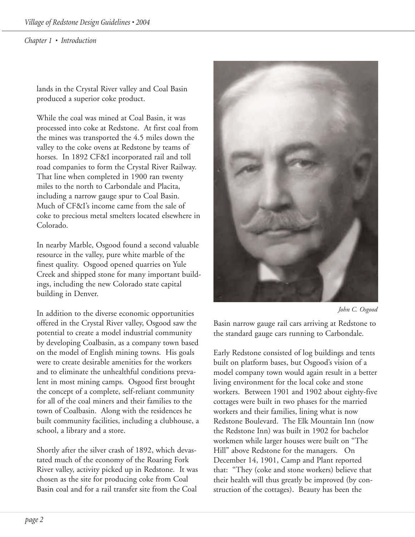lands in the Crystal River valley and Coal Basin produced a superior coke product.

While the coal was mined at Coal Basin, it was processed into coke at Redstone. At first coal from the mines was transported the 4.5 miles down the valley to the coke ovens at Redstone by teams of horses. In 1892 CF&I incorporated rail and toll road companies to form the Crystal River Railway. That line when completed in 1900 ran twenty miles to the north to Carbondale and Placita, including a narrow gauge spur to Coal Basin. Much of CF&I's income came from the sale of coke to precious metal smelters located elsewhere in Colorado.

In nearby Marble, Osgood found a second valuable resource in the valley, pure white marble of the finest quality. Osgood opened quarries on Yule Creek and shipped stone for many important buildings, including the new Colorado state capital building in Denver.

In addition to the diverse economic opportunities offered in the Crystal River valley, Osgood saw the potential to create a model industrial community by developing Coalbasin, as a company town based on the model of English mining towns. His goals were to create desirable amenities for the workers and to eliminate the unhealthful conditions prevalent in most mining camps. Osgood first brought the concept of a complete, self-reliant community for all of the coal miners and their families to the town of Coalbasin. Along with the residences he built community facilities, including a clubhouse, a school, a library and a store.

Shortly after the silver crash of 1892, which devastated much of the economy of the Roaring Fork River valley, activity picked up in Redstone. It was chosen as the site for producing coke from Coal Basin coal and for a rail transfer site from the Coal



*John C. Osgood*

Basin narrow gauge rail cars arriving at Redstone to the standard gauge cars running to Carbondale.

Early Redstone consisted of log buildings and tents built on platform bases, but Osgood's vision of a model company town would again result in a better living environment for the local coke and stone workers. Between 1901 and 1902 about eighty-five cottages were built in two phases for the married workers and their families, lining what is now Redstone Boulevard. The Elk Mountain Inn (now the Redstone Inn) was built in 1902 for bachelor workmen while larger houses were built on "The Hill" above Redstone for the managers. On December 14, 1901, Camp and Plant reported that: "They (coke and stone workers) believe that their health will thus greatly be improved (by construction of the cottages). Beauty has been the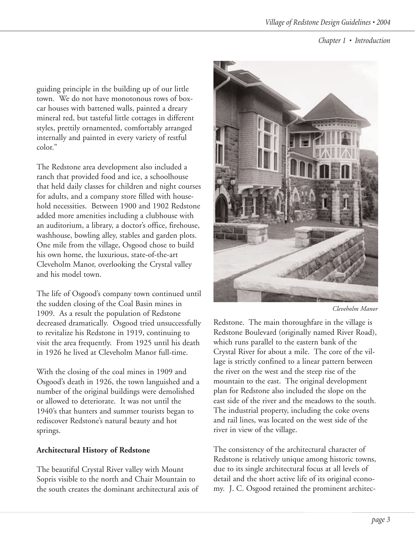guiding principle in the building up of our little town. We do not have monotonous rows of boxcar houses with battened walls, painted a dreary mineral red, but tasteful little cottages in different styles, prettily ornamented, comfortably arranged internally and painted in every variety of restful color."

The Redstone area development also included a ranch that provided food and ice, a schoolhouse that held daily classes for children and night courses for adults, and a company store filled with household necessities. Between 1900 and 1902 Redstone added more amenities including a clubhouse with an auditorium, a library, a doctor's office, firehouse, washhouse, bowling alley, stables and garden plots. One mile from the village, Osgood chose to build his own home, the luxurious, state-of-the-art Cleveholm Manor, overlooking the Crystal valley and his model town.

The life of Osgood's company town continued until the sudden closing of the Coal Basin mines in 1909. As a result the population of Redstone decreased dramatically. Osgood tried unsuccessfully to revitalize his Redstone in 1919, continuing to visit the area frequently. From 1925 until his death in 1926 he lived at Cleveholm Manor full-time.

With the closing of the coal mines in 1909 and Osgood's death in 1926, the town languished and a number of the original buildings were demolished or allowed to deteriorate. It was not until the 1940's that hunters and summer tourists began to rediscover Redstone's natural beauty and hot springs.

#### **Architectural History of Redstone**

The beautiful Crystal River valley with Mount Sopris visible to the north and Chair Mountain to the south creates the dominant architectural axis of



*Cleveholm Manor*

Redstone. The main thoroughfare in the village is Redstone Boulevard (originally named River Road), which runs parallel to the eastern bank of the Crystal River for about a mile. The core of the village is strictly confined to a linear pattern between the river on the west and the steep rise of the mountain to the east. The original development plan for Redstone also included the slope on the east side of the river and the meadows to the south. The industrial property, including the coke ovens and rail lines, was located on the west side of the river in view of the village.

The consistency of the architectural character of Redstone is relatively unique among historic towns, due to its single architectural focus at all levels of detail and the short active life of its original economy. J. C. Osgood retained the prominent architec-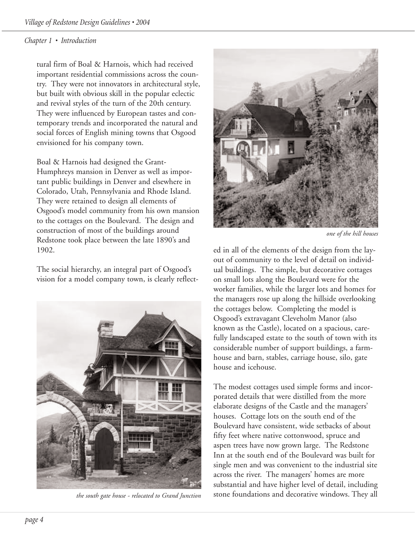tural firm of Boal & Harnois, which had received important residential commissions across the country. They were not innovators in architectural style, but built with obvious skill in the popular eclectic and revival styles of the turn of the 20th century. They were influenced by European tastes and contemporary trends and incorporated the natural and social forces of English mining towns that Osgood envisioned for his company town.

Boal & Harnois had designed the Grant-Humphreys mansion in Denver as well as important public buildings in Denver and elsewhere in Colorado, Utah, Pennsylvania and Rhode Island. They were retained to design all elements of Osgood's model community from his own mansion to the cottages on the Boulevard. The design and construction of most of the buildings around Redstone took place between the late 1890's and 1902.

The social hierarchy, an integral part of Osgood's vision for a model company town, is clearly reflect-



*the south gate house - relocated to Grand Junction*



*one of the hill houses*

ed in all of the elements of the design from the layout of community to the level of detail on individual buildings. The simple, but decorative cottages on small lots along the Boulevard were for the worker families, while the larger lots and homes for the managers rose up along the hillside overlooking the cottages below. Completing the model is Osgood's extravagant Cleveholm Manor (also known as the Castle), located on a spacious, carefully landscaped estate to the south of town with its considerable number of support buildings, a farmhouse and barn, stables, carriage house, silo, gate house and icehouse.

The modest cottages used simple forms and incorporated details that were distilled from the more elaborate designs of the Castle and the managers' houses. Cottage lots on the south end of the Boulevard have consistent, wide setbacks of about fifty feet where native cottonwood, spruce and aspen trees have now grown large. The Redstone Inn at the south end of the Boulevard was built for single men and was convenient to the industrial site across the river. The managers' homes are more substantial and have higher level of detail, including stone foundations and decorative windows. They all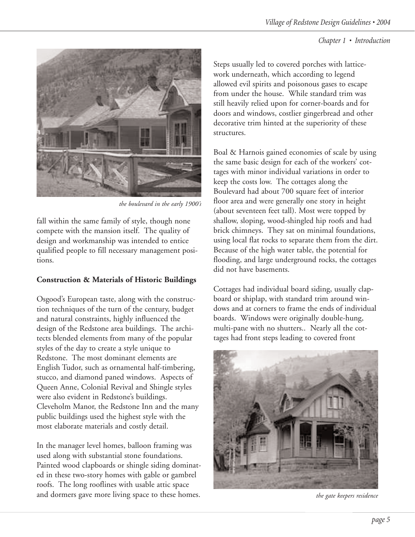

*the boulevard in the early 1900's*

fall within the same family of style, though none compete with the mansion itself. The quality of design and workmanship was intended to entice qualified people to fill necessary management positions.

# **Construction & Materials of Historic Buildings**

Osgood's European taste, along with the construction techniques of the turn of the century, budget and natural constraints, highly influenced the design of the Redstone area buildings. The architects blended elements from many of the popular styles of the day to create a style unique to Redstone. The most dominant elements are English Tudor, such as ornamental half-timbering, stucco, and diamond paned windows. Aspects of Queen Anne, Colonial Revival and Shingle styles were also evident in Redstone's buildings. Cleveholm Manor, the Redstone Inn and the many public buildings used the highest style with the most elaborate materials and costly detail.

In the manager level homes, balloon framing was used along with substantial stone foundations. Painted wood clapboards or shingle siding dominated in these two-story homes with gable or gambrel roofs. The long rooflines with usable attic space and dormers gave more living space to these homes. Steps usually led to covered porches with latticework underneath, which according to legend allowed evil spirits and poisonous gases to escape from under the house. While standard trim was still heavily relied upon for corner-boards and for doors and windows, costlier gingerbread and other decorative trim hinted at the superiority of these structures.

Boal & Harnois gained economies of scale by using the same basic design for each of the workers' cottages with minor individual variations in order to keep the costs low. The cottages along the Boulevard had about 700 square feet of interior floor area and were generally one story in height (about seventeen feet tall). Most were topped by shallow, sloping, wood-shingled hip roofs and had brick chimneys. They sat on minimal foundations, using local flat rocks to separate them from the dirt. Because of the high water table, the potential for flooding, and large underground rocks, the cottages did not have basements.

Cottages had individual board siding, usually clapboard or shiplap, with standard trim around windows and at corners to frame the ends of individual boards. Windows were originally double-hung, multi-pane with no shutters.. Nearly all the cottages had front steps leading to covered front



*the gate keepers residence*